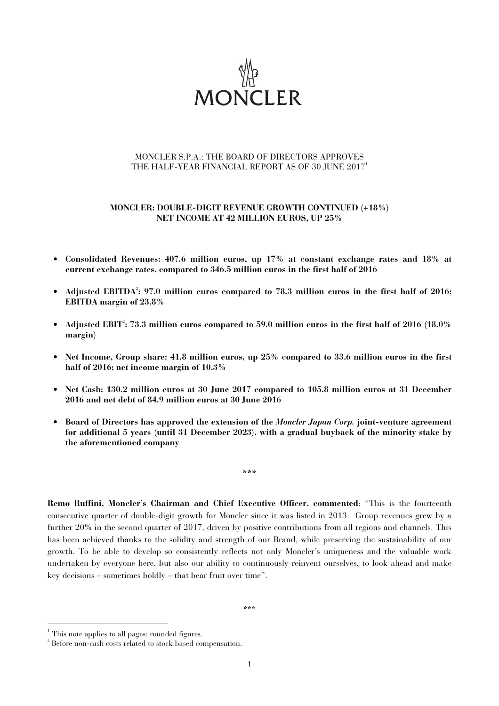

## MONCLER S.P.A.: THE BOARD OF DIRECTORS APPROVES THE HALF-YEAR FINANCIAL REPORT AS OF 30 JUNE 2017<sup>1</sup>

## **MONCLER: DOUBLE-DIGIT REVENUE GROWTH CONTINUED (+18%) NET INCOME AT 42 MILLION EUROS, UP 25%**

- **Consolidated Revenues: 407.6 million euros, up 17% at constant exchange rates and 18% at current exchange rates, compared to 346.5 million euros in the first half of 2016**
- Adjusted EBITDA<sup>2</sup>: 97.0 million euros compared to 78.3 million euros in the first half of 2016; **EBITDA margin of 23.8%**
- Adjusted EBIT<sup>2</sup>: 73.3 million euros compared to 59.0 million euros in the first half of 2016 (18.0% **margin)**
- **Net Income, Group share: 41.8 million euros, up 25% compared to 33.6 million euros in the first half of 2016; net income margin of 10.3%**
- **Net Cash: 130.2 million euros at 30 June 2017 compared to 105.8 million euros at 31 December 2016 and net debt of 84.9 million euros at 30 June 2016**
- **Board of Directors has approved the extension of the** *Moncler Japan Corp.* **joint-venture agreement for additional 5 years (until 31 December 2023), with a gradual buyback of the minority stake by the aforementioned company**

**\*\*\*** 

**Remo Ruffini, Moncler's Chairman and Chief Executive Officer, commented**: "This is the fourteenth consecutive quarter of double-digit growth for Moncler since it was listed in 2013. Group revenues grew by a further 20% in the second quarter of 2017, driven by positive contributions from all regions and channels. This has been achieved thanks to the solidity and strength of our Brand, while preserving the sustainability of our growth. To be able to develop so consistently reflects not only Moncler's uniqueness and the valuable work undertaken by everyone here, but also our ability to continuously reinvent ourselves, to look ahead and make key decisions – sometimes boldly – that bear fruit over time".

\*\*\*

j

<sup>&</sup>lt;sup>1</sup> This note applies to all pages: rounded figures.

<sup>&</sup>lt;sup>2</sup> Before non-cash costs related to stock based compensation.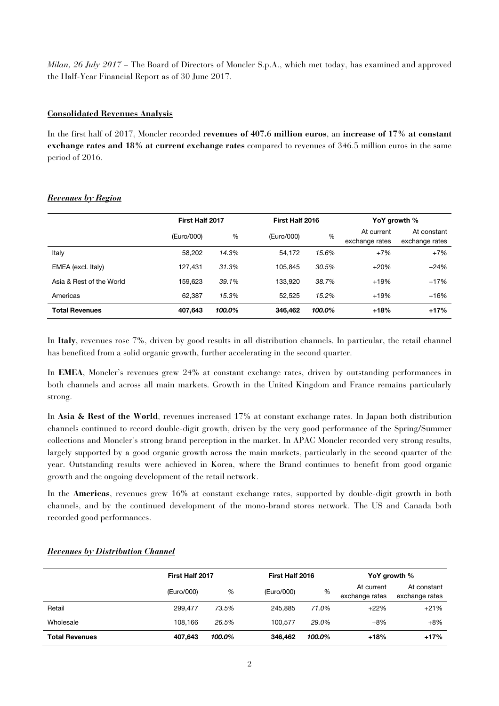*Milan, 26 July 2017* – The Board of Directors of Moncler S.p.A., which met today, has examined and approved the Half-Year Financial Report as of 30 June 2017.

## **Consolidated Revenues Analysis**

In the first half of 2017, Moncler recorded **revenues of 407.6 million euros**, an **increase of 17% at constant exchange rates and 18% at current exchange rates** compared to revenues of 346.5 million euros in the same period of 2016.

|                          | First Half 2017 |        | First Half 2016 |        | YoY growth %                 |                               |
|--------------------------|-----------------|--------|-----------------|--------|------------------------------|-------------------------------|
|                          | (Euro/000)      | %      | (Euro/000)      | %      | At current<br>exchange rates | At constant<br>exchange rates |
| Italy                    | 58.202          | 14.3%  | 54.172          | 15.6%  | $+7%$                        | $+7%$                         |
| EMEA (excl. Italy)       | 127,431         | 31.3%  | 105.845         | 30.5%  | $+20%$                       | $+24%$                        |
| Asia & Rest of the World | 159.623         | 39.1%  | 133.920         | 38.7%  | $+19%$                       | $+17%$                        |
| Americas                 | 62.387          | 15.3%  | 52.525          | 15.2%  | $+19%$                       | $+16%$                        |
| <b>Total Revenues</b>    | 407,643         | 100.0% | 346.462         | 100.0% | $+18%$                       | $+17%$                        |

## *Revenues by Region*

In **Italy**, revenues rose 7%, driven by good results in all distribution channels. In particular, the retail channel has benefited from a solid organic growth, further accelerating in the second quarter.

In **EMEA**, Moncler's revenues grew 24% at constant exchange rates, driven by outstanding performances in both channels and across all main markets. Growth in the United Kingdom and France remains particularly strong.

In **Asia & Rest of the World**, revenues increased 17% at constant exchange rates. In Japan both distribution channels continued to record double-digit growth, driven by the very good performance of the Spring/Summer collections and Moncler's strong brand perception in the market. In APAC Moncler recorded very strong results, largely supported by a good organic growth across the main markets, particularly in the second quarter of the year. Outstanding results were achieved in Korea, where the Brand continues to benefit from good organic growth and the ongoing development of the retail network.

In the **Americas**, revenues grew 16% at constant exchange rates, supported by double-digit growth in both channels, and by the continued development of the mono-brand stores network. The US and Canada both recorded good performances.

|                       |            | First Half 2017 |            | First Half 2016 |                              | YoY growth %                  |  |
|-----------------------|------------|-----------------|------------|-----------------|------------------------------|-------------------------------|--|
|                       | (Euro/000) | %               | (Euro/000) | %               | At current<br>exchange rates | At constant<br>exchange rates |  |
| Retail                | 299.477    | 73.5%           | 245.885    | 71.0%           | $+22%$                       | $+21%$                        |  |
| Wholesale             | 108.166    | 26.5%           | 100.577    | 29.0%           | $+8%$                        | $+8%$                         |  |
| <b>Total Revenues</b> | 407,643    | 100.0%          | 346,462    | 100.0%          | $+18%$                       | $+17%$                        |  |

## *Revenues by Distribution Channel*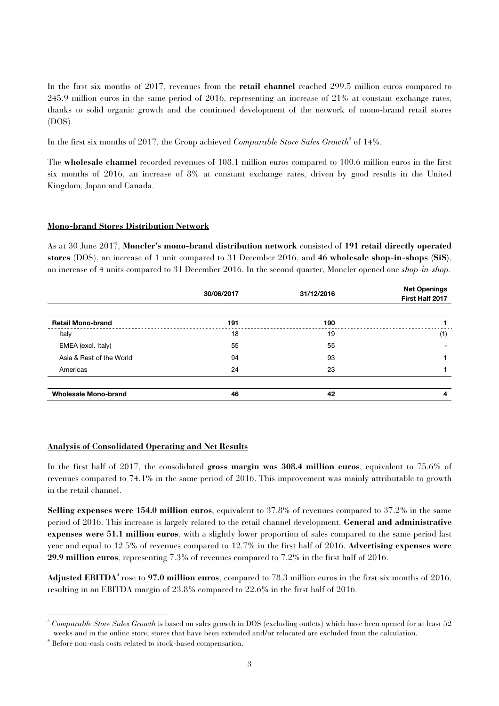In the first six months of 2017, revenues from the **retail channel** reached 299.5 million euros compared to 245.9 million euros in the same period of 2016, representing an increase of 21% at constant exchange rates, thanks to solid organic growth and the continued development of the network of mono-brand retail stores (DOS).

In the first six months of 2017, the Group achieved *Comparable Store Sales Growth*<sup>3</sup> of 14%.

The **wholesale channel** recorded revenues of 108.1 million euros compared to 100.6 million euros in the first six months of 2016, an increase of 8% at constant exchange rates, driven by good results in the United Kingdom, Japan and Canada.

## **Mono-brand Stores Distribution Network**

As at 30 June 2017, **Moncler's mono-brand distribution network** consisted of **191 retail directly operated stores** (DOS), an increase of 1 unit compared to 31 December 2016, and **46 wholesale shop-in-shops (SiS)**, an increase of 4 units compared to 31 December 2016. In the second quarter, Moncler opened one *shop-in-shop*.

|                             | 30/06/2017 | 31/12/2016 | <b>Net Openings</b><br>First Half 2017 |
|-----------------------------|------------|------------|----------------------------------------|
| <b>Retail Mono-brand</b>    | 191        | 190        |                                        |
| Italy                       | 18         | 19         | (1)                                    |
| EMEA (excl. Italy)          | 55         | 55         |                                        |
| Asia & Rest of the World    | 94         | 93         |                                        |
| Americas                    | 24         | 23         |                                        |
| <b>Wholesale Mono-brand</b> | 46         | 42         | 4                                      |

## **Analysis of Consolidated Operating and Net Results**

In the first half of 2017, the consolidated **gross margin was 308.4 million euros**, equivalent to 75.6% of revenues compared to 74.1% in the same period of 2016. This improvement was mainly attributable to growth in the retail channel.

**Selling expenses were 154.0 million euros**, equivalent to 37.8% of revenues compared to 37.2% in the same period of 2016. This increase is largely related to the retail channel development. **General and administrative expenses were 51.1 million euros**, with a slightly lower proportion of sales compared to the same period last year and equal to 12.5% of revenues compared to 12.7% in the first half of 2016. **Advertising expenses were 29.9 million euros**, representing 7.3% of revenues compared to 7.2% in the first half of 2016.

**Adjusted EBITDA<sup>4</sup>** rose to **97.0 million euros**, compared to 78.3 million euros in the first six months of 2016, resulting in an EBITDA margin of 23.8% compared to 22.6% in the first half of 2016.

<sup>1</sup> 3 *Comparable Store Sales Growth* is based on sales growth in DOS (excluding outlets) which have been opened for at least 52 weeks and in the online store; stores that have been extended and/or relocated are excluded from the calculation.

<sup>4</sup> Before non-cash costs related to stock-based compensation.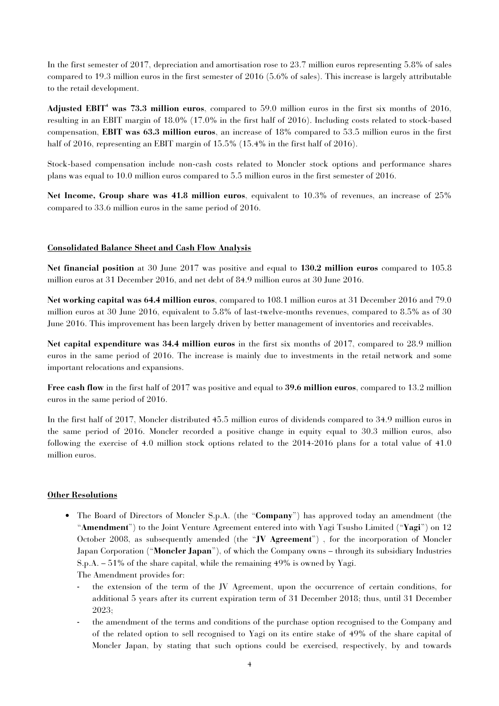In the first semester of 2017, depreciation and amortisation rose to 23.7 million euros representing 5.8% of sales compared to 19.3 million euros in the first semester of 2016 (5.6% of sales). This increase is largely attributable to the retail development.

**Adjusted EBIT<sup>4</sup> was 73.3 million euros**, compared to 59.0 million euros in the first six months of 2016, resulting in an EBIT margin of 18.0% (17.0% in the first half of 2016). Including costs related to stock-based compensation, **EBIT was 63.3 million euros**, an increase of 18% compared to 53.5 million euros in the first half of 2016, representing an EBIT margin of 15.5% (15.4% in the first half of 2016).

Stock-based compensation include non-cash costs related to Moncler stock options and performance shares plans was equal to 10.0 million euros compared to 5.5 million euros in the first semester of 2016.

**Net Income, Group share was 41.8 million euros**, equivalent to 10.3% of revenues, an increase of 25% compared to 33.6 million euros in the same period of 2016.

## **Consolidated Balance Sheet and Cash Flow Analysis**

**Net financial position** at 30 June 2017 was positive and equal to **130.2 million euros** compared to 105.8 million euros at 31 December 2016, and net debt of 84.9 million euros at 30 June 2016.

**Net working capital was 64.4 million euros**, compared to 108.1 million euros at 31 December 2016 and 79.0 million euros at 30 June 2016, equivalent to 5.8% of last-twelve-months revenues, compared to 8.5% as of 30 June 2016. This improvement has been largely driven by better management of inventories and receivables.

**Net capital expenditure was 34.4 million euros** in the first six months of 2017, compared to 28.9 million euros in the same period of 2016. The increase is mainly due to investments in the retail network and some important relocations and expansions.

**Free cash flow** in the first half of 2017 was positive and equal to **39.6 million euros**, compared to 13.2 million euros in the same period of 2016.

In the first half of 2017, Moncler distributed 45.5 million euros of dividends compared to 34.9 million euros in the same period of 2016. Moncler recorded a positive change in equity equal to 30.3 million euros, also following the exercise of 4.0 million stock options related to the 2014-2016 plans for a total value of 41.0 million euros.

## **Other Resolutions**

- The Board of Directors of Moncler S.p.A. (the "**Company**") has approved today an amendment (the "**Amendment**") to the Joint Venture Agreement entered into with Yagi Tsusho Limited ("**Yagi**") on 12 October 2008, as subsequently amended (the "**JV Agreement**") , for the incorporation of Moncler Japan Corporation ("**Moncler Japan**"), of which the Company owns – through its subsidiary Industries S.p.A. – 51% of the share capital, while the remaining 49% is owned by Yagi.
	- The Amendment provides for:
	- the extension of the term of the JV Agreement, upon the occurrence of certain conditions, for additional 5 years after its current expiration term of 31 December 2018; thus, until 31 December 2023;
	- the amendment of the terms and conditions of the purchase option recognised to the Company and of the related option to sell recognised to Yagi on its entire stake of 49% of the share capital of Moncler Japan, by stating that such options could be exercised, respectively, by and towards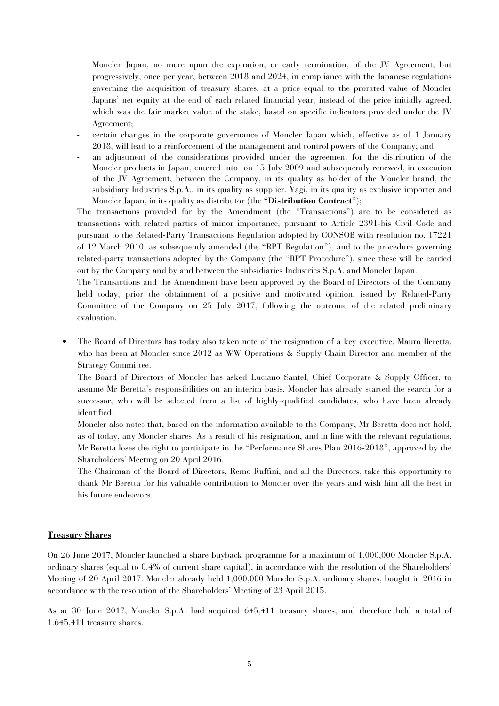Moncler Japan, no more upon the expiration, or early termination, of the JV Agreement, but progressively, once per year, between 2018 and 2024, in compliance with the Japanese regulations governing the acquisition of treasury shares, at a price equal to the prorated value of Moncler Japans' net equity at the end of each related financial year, instead of the price initially agreed, which was the fair market value of the stake, based on specific indicators provided under the JV Agreement;

- certain changes in the corporate governance of Moncler Japan which, effective as of 1 January 2018, will lead to a reinforcement of the management and control powers of the Company; and
- an adjustment of the considerations provided under the agreement for the distribution of the Moncler products in Japan, entered into on 15 July 2009 and subsequently renewed, in execution of the JV Agreement, between the Company, in its quality as holder of the Moncler brand, the subsidiary Industries S.p.A., in its quality as supplier, Yagi, in its quality as exclusive importer and Moncler Japan, in its quality as distributor (the "**Distribution Contract**");

The transactions provided for by the Amendment (the "Transactions") are to be considered as transactions with related parties of minor importance, pursuant to Article 2391-bis Civil Code and pursuant to the Related-Party Transactions Regulation adopted by CONSOB with resolution no. 17221 of 12 March 2010, as subsequently amended (the "RPT Regulation"), and to the procedure governing related-party transactions adopted by the Company (the "RPT Procedure"), since these will be carried out by the Company and by and between the subsidiaries Industries S.p.A. and Moncler Japan.

The Transactions and the Amendment have been approved by the Board of Directors of the Company held today, prior the obtainment of a positive and motivated opinion, issued by Related-Party Committee of the Company on 25 July 2017, following the outcome of the related preliminary evaluation.

• The Board of Directors has today also taken note of the resignation of a key executive, Mauro Beretta, who has been at Moncler since 2012 as WW Operations & Supply Chain Director and member of the Strategy Committee.

The Board of Directors of Moncler has asked Luciano Santel, Chief Corporate & Supply Officer, to assume Mr Beretta's responsibilities on an interim basis. Moncler has already started the search for a successor, who will be selected from a list of highly-qualified candidates, who have been already identified.

Moncler also notes that, based on the information available to the Company, Mr Beretta does not hold, as of today, any Moncler shares. As a result of his resignation, and in line with the relevant regulations, Mr Beretta loses the right to participate in the "Performance Shares Plan 2016-2018", approved by the Shareholders' Meeting on 20 April 2016.

The Chairman of the Board of Directors, Remo Ruffini, and all the Directors, take this opportunity to thank Mr Beretta for his valuable contribution to Moncler over the years and wish him all the best in his future endeavors.

### **Treasury Shares**

On 26 June 2017, Moncler launched a share buyback programme for a maximum of 1,000,000 Moncler S.p.A. ordinary shares (equal to 0.4% of current share capital), in accordance with the resolution of the Shareholders' Meeting of 20 April 2017. Moncler already held 1,000,000 Moncler S.p.A. ordinary shares, bought in 2016 in accordance with the resolution of the Shareholders' Meeting of 23 April 2015.

As at 30 June 2017, Moncler S.p.A. had acquired 645,411 treasury shares, and therefore held a total of 1,645,411 treasury shares.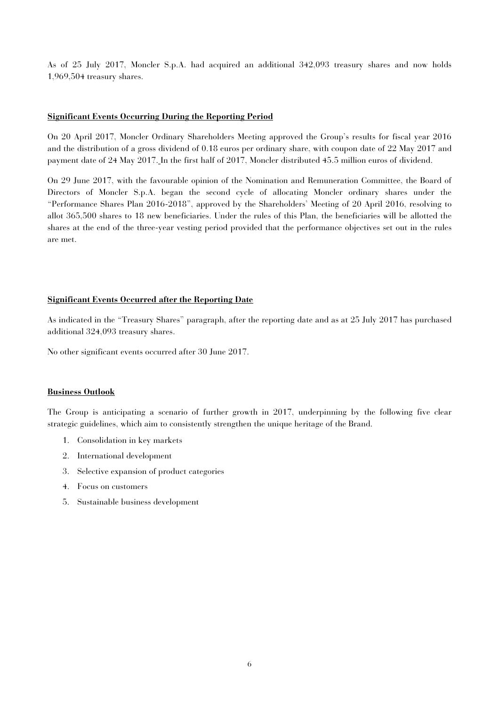As of 25 July 2017, Moncler S.p.A. had acquired an additional 342,093 treasury shares and now holds 1,969,504 treasury shares.

## **Significant Events Occurring During the Reporting Period**

On 20 April 2017, Moncler Ordinary Shareholders Meeting approved the Group's results for fiscal year 2016 and the distribution of a gross dividend of 0.18 euros per ordinary share, with coupon date of 22 May 2017 and payment date of 24 May 2017. In the first half of 2017, Moncler distributed 45.5 million euros of dividend.

On 29 June 2017, with the favourable opinion of the Nomination and Remuneration Committee, the Board of Directors of Moncler S.p.A. began the second cycle of allocating Moncler ordinary shares under the "Performance Shares Plan 2016-2018", approved by the Shareholders' Meeting of 20 April 2016, resolving to allot 365,500 shares to 18 new beneficiaries. Under the rules of this Plan, the beneficiaries will be allotted the shares at the end of the three-year vesting period provided that the performance objectives set out in the rules are met.

## **Significant Events Occurred after the Reporting Date**

As indicated in the "Treasury Shares" paragraph, after the reporting date and as at 25 July 2017 has purchased additional 324,093 treasury shares.

No other significant events occurred after 30 June 2017.

## **Business Outlook**

The Group is anticipating a scenario of further growth in 2017, underpinning by the following five clear strategic guidelines, which aim to consistently strengthen the unique heritage of the Brand.

- 1. Consolidation in key markets
- 2. International development
- 3. Selective expansion of product categories
- 4. Focus on customers
- 5. Sustainable business development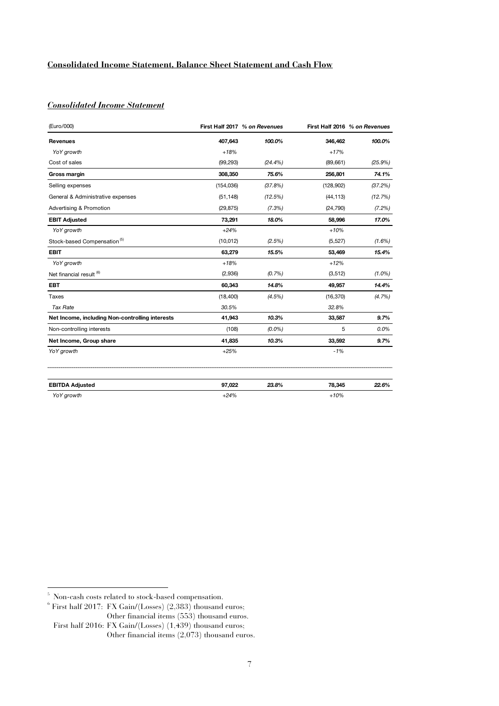## **Consolidated Income Statement, Balance Sheet Statement and Cash Flow**

## *Consolidated Income Statement*\_\_\_

| (Euro/000)                                      |            | First Half 2017 % on Revenues |            | First Half 2016 % on Revenues |
|-------------------------------------------------|------------|-------------------------------|------------|-------------------------------|
| <b>Revenues</b>                                 | 407,643    | 100.0%                        | 346,462    | 100.0%                        |
| YoY growth                                      | $+18%$     |                               | $+17%$     |                               |
| Cost of sales                                   | (99, 293)  | $(24.4\%)$                    | (89, 661)  | (25.9%)                       |
| Gross margin                                    | 308,350    | 75.6%                         | 256,801    | 74.1%                         |
| Selling expenses                                | (154, 036) | (37.8%)                       | (128, 902) | (37.2%)                       |
| General & Administrative expenses               | (51, 148)  | (12.5%)                       | (44, 113)  | (12.7%)                       |
| Advertising & Promotion                         | (29, 875)  | (7.3%)                        | (24, 790)  | $(7.2\%)$                     |
| <b>EBIT Adjusted</b>                            | 73,291     | 18.0%                         | 58,996     | 17.0%                         |
| YoY growth                                      | $+24%$     |                               | $+10%$     |                               |
| Stock-based Compensation <sup>(5)</sup>         | (10, 012)  | (2.5%)                        | (5, 527)   | $(1.6\%)$                     |
| <b>EBIT</b>                                     | 63,279     | 15.5%                         | 53,469     | 15.4%                         |
| YoY growth                                      | $+18%$     |                               | $+12%$     |                               |
| Net financial result <sup>(6)</sup>             | (2,936)    | (0.7%)                        | (3, 512)   | $(1.0\%)$                     |
| <b>EBT</b>                                      | 60,343     | 14.8%                         | 49,957     | 14.4%                         |
| Taxes                                           | (18, 400)  | $(4.5\%)$                     | (16, 370)  | $(4.7\%)$                     |
| <b>Tax Rate</b>                                 | 30.5%      |                               | 32.8%      |                               |
| Net Income, including Non-controlling interests | 41,943     | 10.3%                         | 33,587     | 9.7%                          |
| Non-controlling interests                       | (108)      | $(0.0\%)$                     | 5          | 0.0%                          |
| Net Income, Group share                         | 41,835     | 10.3%                         | 33,592     | 9.7%                          |
| YoY growth                                      | $+25%$     |                               | $-1%$      |                               |
| <b>EBITDA Adjusted</b>                          | 97,022     | 23.8%                         | 78,345     | 22.6%                         |
| YoY growth                                      | $+24%$     |                               | $+10%$     |                               |

5 Non-cash costs related to stock-based compensation.

 $6$  First half 2017: FX Gain/(Losses) (2,383) thousand euros; Other financial items (553) thousand euros.

First half 2016: FX Gain/(Losses)  $(1,439)$  thousand euros; Other financial items (2,073) thousand euros.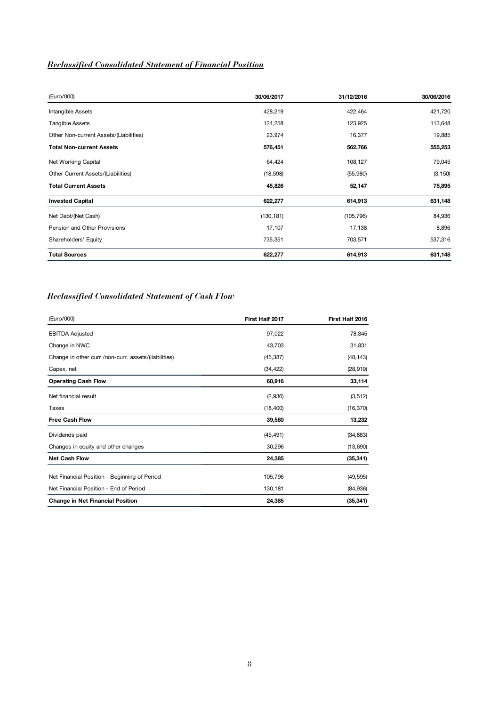# *Reclassified Consolidated Statement of Financial Position*

| (Euro/000)                             | 30/06/2017 | 31/12/2016 | 30/06/2016 |
|----------------------------------------|------------|------------|------------|
| Intangible Assets                      | 428,219    | 422,464    | 421,720    |
| Tangible Assets                        | 124,258    | 123,925    | 113,648    |
| Other Non-current Assets/(Liabilities) | 23,974     | 16,377     | 19,885     |
| <b>Total Non-current Assets</b>        | 576,451    | 562,766    | 555,253    |
| Net Working Capital                    | 64,424     | 108,127    | 79,045     |
| Other Current Assets/(Liabilities)     | (18, 598)  | (55, 980)  | (3, 150)   |
| <b>Total Current Assets</b>            | 45,826     | 52,147     | 75,895     |
| <b>Invested Capital</b>                | 622,277    | 614,913    | 631,148    |
| Net Debt/(Net Cash)                    | (130, 181) | (105, 796) | 84,936     |
| Pension and Other Provisions           | 17,107     | 17,138     | 8,896      |
| Shareholders' Equity                   | 735,351    | 703,571    | 537,316    |
| <b>Total Sources</b>                   | 622,277    | 614,913    | 631,148    |

# *Reclassified Consolidated Statement of Cash Flow*

| (Euro/000)                                                                             | First Half 2017    | First Half 2016        |
|----------------------------------------------------------------------------------------|--------------------|------------------------|
| <b>EBITDA Adjusted</b>                                                                 | 97,022             | 78,345                 |
| Change in NWC                                                                          | 43,703             | 31,831                 |
| Change in other curr./non-curr. assets/(liabilities)                                   | (45, 387)          | (48, 143)              |
| Capex, net                                                                             | (34, 422)          | (28, 919)              |
| <b>Operating Cash Flow</b>                                                             | 60,916             | 33,114                 |
| Net financial result                                                                   | (2,936)            | (3, 512)               |
| Taxes                                                                                  | (18, 400)          | (16, 370)              |
| <b>Free Cash Flow</b>                                                                  | 39,580             | 13,232                 |
| Dividends paid                                                                         | (45, 491)          | (34, 883)              |
| Changes in equity and other changes                                                    | 30,296             | (13,690)               |
| <b>Net Cash Flow</b>                                                                   | 24,385             | (35, 341)              |
| Net Financial Position - Beginning of Period<br>Net Financial Position - End of Period | 105,796<br>130,181 | (49, 595)<br>(84, 936) |
| <b>Change in Net Financial Position</b>                                                | 24,385             | (35, 341)              |